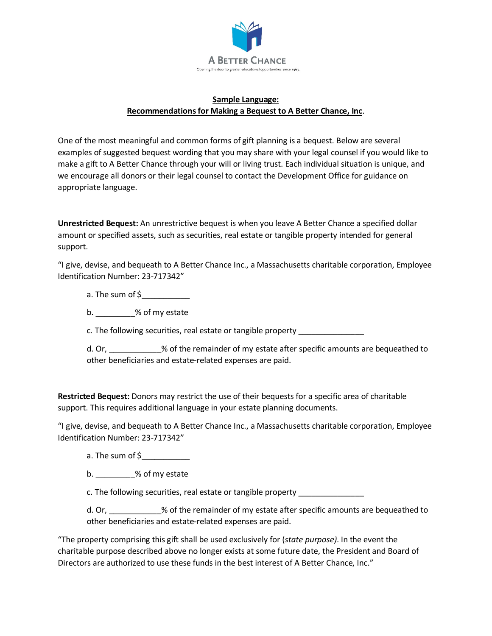

## **Sample Language: Recommendations for Making a Bequest to A Better Chance, Inc**.

One of the most meaningful and common forms of gift planning is a bequest. Below are several examples of suggested bequest wording that you may share with your legal counsel if you would like to make a gift to A Better Chance through your will or living trust. Each individual situation is unique, and we encourage all donors or their legal counsel to contact the Development Office for guidance on appropriate language.

**Unrestricted Bequest:** An unrestrictive bequest is when you leave A Better Chance a specified dollar amount or specified assets, such as securities, real estate or tangible property intended for general support.

"I give, devise, and bequeath to A Better Chance Inc., a Massachusetts charitable corporation, Employee Identification Number: 23-717342"

a. The sum of \$

b.  $\%$  of my estate

c. The following securities, real estate or tangible property \_\_\_\_\_\_\_\_\_\_\_\_\_\_\_\_\_\_

d. Or, \_\_\_\_\_\_\_\_\_\_\_\_% of the remainder of my estate after specific amounts are bequeathed to other beneficiaries and estate-related expenses are paid.

**Restricted Bequest:** Donors may restrict the use of their bequests for a specific area of charitable support. This requires additional language in your estate planning documents.

"I give, devise, and bequeath to A Better Chance Inc., a Massachusetts charitable corporation, Employee Identification Number: 23-717342"

a. The sum of  $\zeta$ 

b.  $\%$  of my estate

c. The following securities, real estate or tangible property \_\_\_\_\_\_\_\_\_\_\_\_\_\_\_\_\_\_

d. Or, \_\_\_\_\_\_\_\_\_\_\_\_% of the remainder of my estate after specific amounts are bequeathed to other beneficiaries and estate-related expenses are paid.

"The property comprising this gift shall be used exclusively for (*state purpose)*. In the event the charitable purpose described above no longer exists at some future date, the President and Board of Directors are authorized to use these funds in the best interest of A Better Chance, Inc."